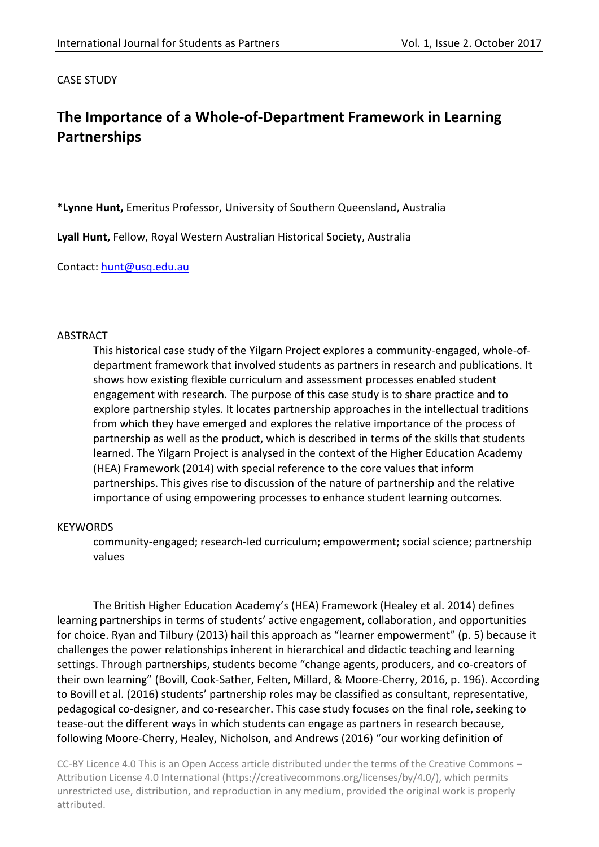CASE STUDY

# **The Importance of a Whole-of-Department Framework in Learning Partnerships**

**\*Lynne Hunt,** Emeritus Professor, University of Southern Queensland, Australia

**Lyall Hunt,** Fellow, Royal Western Australian Historical Society, Australia

Contact: [hunt@usq.edu.au](mailto:hunt@usq.edu.au)

#### ABSTRACT

This historical case study of the Yilgarn Project explores a community-engaged, whole-ofdepartment framework that involved students as partners in research and publications. It shows how existing flexible curriculum and assessment processes enabled student engagement with research. The purpose of this case study is to share practice and to explore partnership styles. It locates partnership approaches in the intellectual traditions from which they have emerged and explores the relative importance of the process of partnership as well as the product, which is described in terms of the skills that students learned. The Yilgarn Project is analysed in the context of the Higher Education Academy (HEA) Framework (2014) with special reference to the core values that inform partnerships. This gives rise to discussion of the nature of partnership and the relative importance of using empowering processes to enhance student learning outcomes.

#### **KEYWORDS**

community-engaged; research-led curriculum; empowerment; social science; partnership values

The British Higher Education Academy's (HEA) Framework (Healey et al. 2014) defines learning partnerships in terms of students' active engagement, collaboration, and opportunities for choice. Ryan and Tilbury (2013) hail this approach as "learner empowerment" (p. 5) because it challenges the power relationships inherent in hierarchical and didactic teaching and learning settings. Through partnerships, students become "change agents, producers, and co-creators of their own learning" (Bovill, Cook-Sather, Felten, Millard, & Moore-Cherry, 2016, p. 196). According to Bovill et al. (2016) students' partnership roles may be classified as consultant, representative, pedagogical co-designer, and co-researcher. This case study focuses on the final role, seeking to tease-out the different ways in which students can engage as partners in research because, following Moore-Cherry, Healey, Nicholson, and Andrews (2016) "our working definition of

CC-BY Licence 4.0 This is an Open Access article distributed under the terms of the Creative Commons – Attribution License 4.0 International [\(https://creativecommons.org/licenses/by/4.0/\)](https://creativecommons.org/licenses/by/4.0/), which permits unrestricted use, distribution, and reproduction in any medium, provided the original work is properly attributed.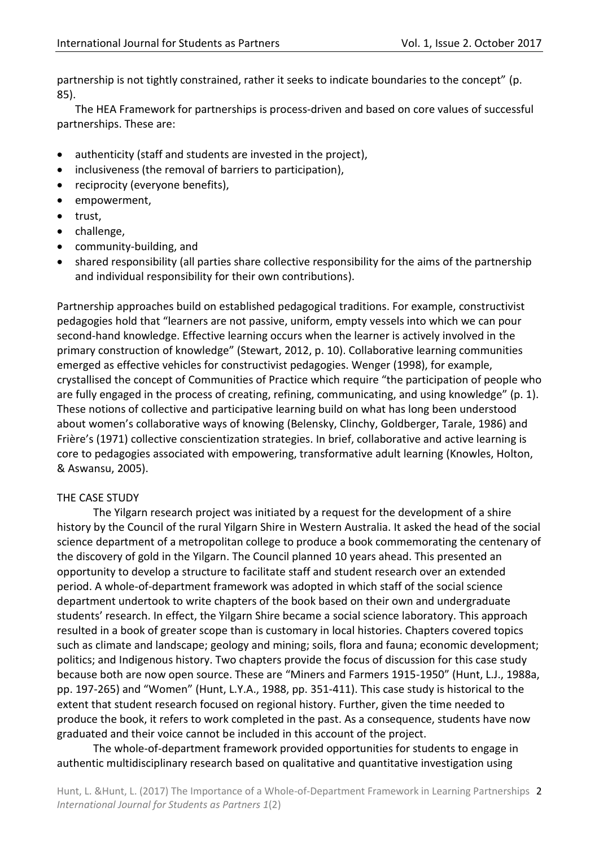partnership is not tightly constrained, rather it seeks to indicate boundaries to the concept" (p. 85).

The HEA Framework for partnerships is process-driven and based on core values of successful partnerships. These are:

- authenticity (staff and students are invested in the project),
- inclusiveness (the removal of barriers to participation),
- reciprocity (everyone benefits),
- empowerment,
- trust.
- challenge,
- community-building, and
- shared responsibility (all parties share collective responsibility for the aims of the partnership and individual responsibility for their own contributions).

Partnership approaches build on established pedagogical traditions. For example, constructivist pedagogies hold that "learners are not passive, uniform, empty vessels into which we can pour second-hand knowledge. Effective learning occurs when the learner is actively involved in the primary construction of knowledge" (Stewart, 2012, p. 10). Collaborative learning communities emerged as effective vehicles for constructivist pedagogies. Wenger (1998), for example, crystallised the concept of Communities of Practice which require "the participation of people who are fully engaged in the process of creating, refining, communicating, and using knowledge" (p. 1). These notions of collective and participative learning build on what has long been understood about women's collaborative ways of knowing (Belensky, Clinchy, Goldberger, Tarale, 1986) and Frière's (1971) collective conscientization strategies. In brief, collaborative and active learning is core to pedagogies associated with empowering, transformative adult learning (Knowles, Holton, & Aswansu, 2005).

## THE CASE STUDY

The Yilgarn research project was initiated by a request for the development of a shire history by the Council of the rural Yilgarn Shire in Western Australia. It asked the head of the social science department of a metropolitan college to produce a book commemorating the centenary of the discovery of gold in the Yilgarn. The Council planned 10 years ahead. This presented an opportunity to develop a structure to facilitate staff and student research over an extended period. A whole-of-department framework was adopted in which staff of the social science department undertook to write chapters of the book based on their own and undergraduate students' research. In effect, the Yilgarn Shire became a social science laboratory. This approach resulted in a book of greater scope than is customary in local histories. Chapters covered topics such as climate and landscape; geology and mining; soils, flora and fauna; economic development; politics; and Indigenous history. Two chapters provide the focus of discussion for this case study because both are now open source. These are "Miners and Farmers 1915-1950" (Hunt, L.J., 1988a, pp. 197-265) and "Women" (Hunt, L.Y.A., 1988, pp. 351-411). This case study is historical to the extent that student research focused on regional history. Further, given the time needed to produce the book, it refers to work completed in the past. As a consequence, students have now graduated and their voice cannot be included in this account of the project.

The whole-of-department framework provided opportunities for students to engage in authentic multidisciplinary research based on qualitative and quantitative investigation using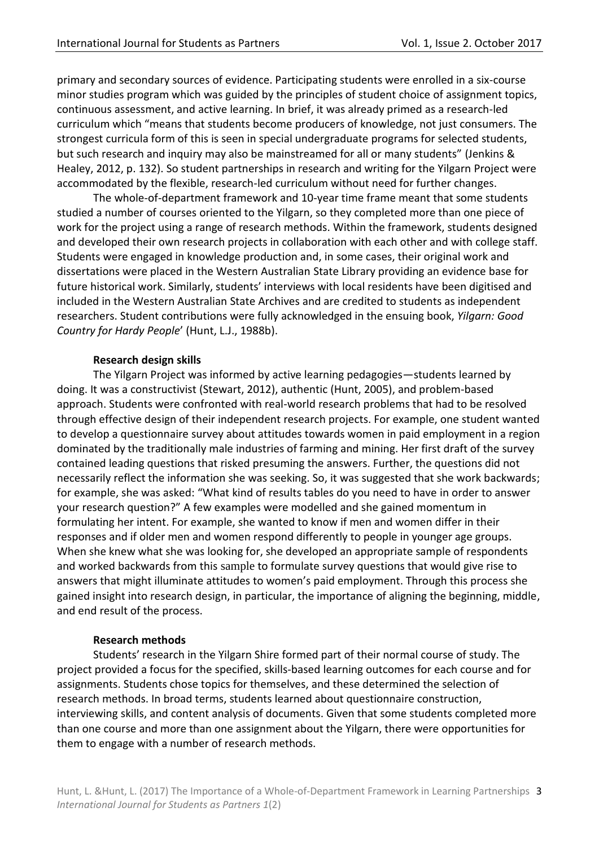primary and secondary sources of evidence. Participating students were enrolled in a six-course minor studies program which was guided by the principles of student choice of assignment topics, continuous assessment, and active learning. In brief, it was already primed as a research-led curriculum which "means that students become producers of knowledge, not just consumers. The strongest curricula form of this is seen in special undergraduate programs for selected students, but such research and inquiry may also be mainstreamed for all or many students" (Jenkins & Healey, 2012, p. 132). So student partnerships in research and writing for the Yilgarn Project were accommodated by the flexible, research-led curriculum without need for further changes.

The whole-of-department framework and 10-year time frame meant that some students studied a number of courses oriented to the Yilgarn, so they completed more than one piece of work for the project using a range of research methods. Within the framework, students designed and developed their own research projects in collaboration with each other and with college staff. Students were engaged in knowledge production and, in some cases, their original work and dissertations were placed in the Western Australian State Library providing an evidence base for future historical work. Similarly, students' interviews with local residents have been digitised and included in the Western Australian State Archives and are credited to students as independent researchers. Student contributions were fully acknowledged in the ensuing book, *Yilgarn: Good Country for Hardy People*' (Hunt, L.J., 1988b).

# **Research design skills**

The Yilgarn Project was informed by active learning pedagogies—students learned by doing. It was a constructivist (Stewart, 2012), authentic (Hunt, 2005), and problem-based approach. Students were confronted with real-world research problems that had to be resolved through effective design of their independent research projects. For example, one student wanted to develop a questionnaire survey about attitudes towards women in paid employment in a region dominated by the traditionally male industries of farming and mining. Her first draft of the survey contained leading questions that risked presuming the answers. Further, the questions did not necessarily reflect the information she was seeking. So, it was suggested that she work backwards; for example, she was asked: "What kind of results tables do you need to have in order to answer your research question?" A few examples were modelled and she gained momentum in formulating her intent. For example, she wanted to know if men and women differ in their responses and if older men and women respond differently to people in younger age groups. When she knew what she was looking for, she developed an appropriate sample of respondents and worked backwards from this sample to formulate survey questions that would give rise to answers that might illuminate attitudes to women's paid employment. Through this process she gained insight into research design, in particular, the importance of aligning the beginning, middle, and end result of the process.

## **Research methods**

Students' research in the Yilgarn Shire formed part of their normal course of study. The project provided a focus for the specified, skills-based learning outcomes for each course and for assignments. Students chose topics for themselves, and these determined the selection of research methods. In broad terms, students learned about questionnaire construction, interviewing skills, and content analysis of documents. Given that some students completed more than one course and more than one assignment about the Yilgarn, there were opportunities for them to engage with a number of research methods.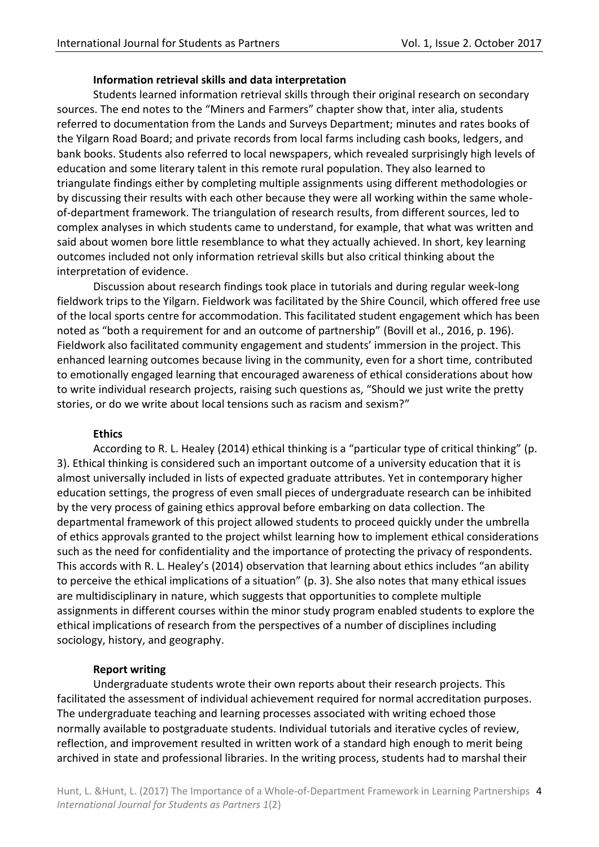## **Information retrieval skills and data interpretation**

Students learned information retrieval skills through their original research on secondary sources. The end notes to the "Miners and Farmers" chapter show that, inter alia, students referred to documentation from the Lands and Surveys Department; minutes and rates books of the Yilgarn Road Board; and private records from local farms including cash books, ledgers, and bank books. Students also referred to local newspapers, which revealed surprisingly high levels of education and some literary talent in this remote rural population. They also learned to triangulate findings either by completing multiple assignments using different methodologies or by discussing their results with each other because they were all working within the same wholeof-department framework. The triangulation of research results, from different sources, led to complex analyses in which students came to understand, for example, that what was written and said about women bore little resemblance to what they actually achieved. In short, key learning outcomes included not only information retrieval skills but also critical thinking about the interpretation of evidence.

Discussion about research findings took place in tutorials and during regular week-long fieldwork trips to the Yilgarn. Fieldwork was facilitated by the Shire Council, which offered free use of the local sports centre for accommodation. This facilitated student engagement which has been noted as "both a requirement for and an outcome of partnership" (Bovill et al., 2016, p. 196). Fieldwork also facilitated community engagement and students' immersion in the project. This enhanced learning outcomes because living in the community, even for a short time, contributed to emotionally engaged learning that encouraged awareness of ethical considerations about how to write individual research projects, raising such questions as, "Should we just write the pretty stories, or do we write about local tensions such as racism and sexism?"

## **Ethics**

According to R. L. Healey (2014) ethical thinking is a "particular type of critical thinking" (p. 3). Ethical thinking is considered such an important outcome of a university education that it is almost universally included in lists of expected graduate attributes. Yet in contemporary higher education settings, the progress of even small pieces of undergraduate research can be inhibited by the very process of gaining ethics approval before embarking on data collection. The departmental framework of this project allowed students to proceed quickly under the umbrella of ethics approvals granted to the project whilst learning how to implement ethical considerations such as the need for confidentiality and the importance of protecting the privacy of respondents. This accords with R. L. Healey's (2014) observation that learning about ethics includes "an ability to perceive the ethical implications of a situation" (p. 3). She also notes that many ethical issues are multidisciplinary in nature, which suggests that opportunities to complete multiple assignments in different courses within the minor study program enabled students to explore the ethical implications of research from the perspectives of a number of disciplines including sociology, history, and geography.

## **Report writing**

Undergraduate students wrote their own reports about their research projects. This facilitated the assessment of individual achievement required for normal accreditation purposes. The undergraduate teaching and learning processes associated with writing echoed those normally available to postgraduate students. Individual tutorials and iterative cycles of review, reflection, and improvement resulted in written work of a standard high enough to merit being archived in state and professional libraries. In the writing process, students had to marshal their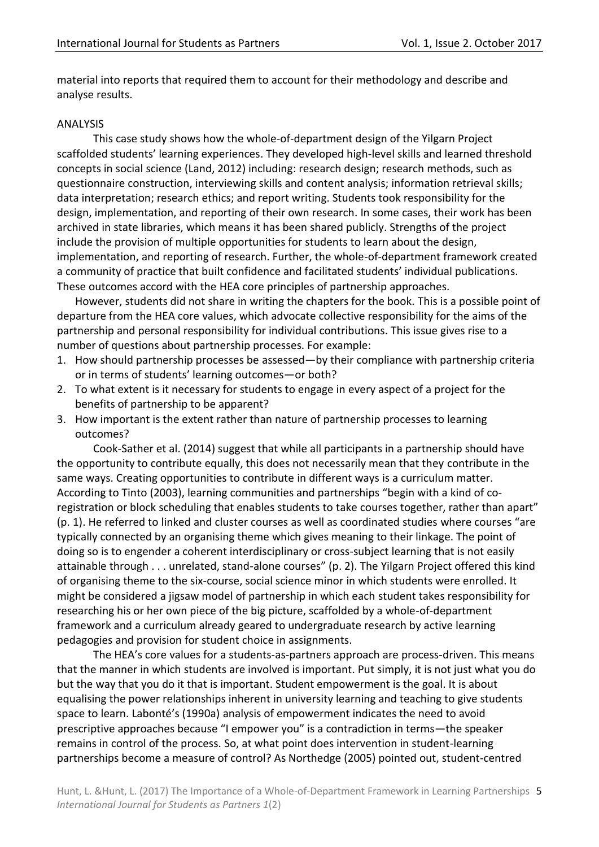material into reports that required them to account for their methodology and describe and analyse results.

#### ANALYSIS

This case study shows how the whole-of-department design of the Yilgarn Project scaffolded students' learning experiences. They developed high-level skills and learned threshold concepts in social science (Land, 2012) including: research design; research methods, such as questionnaire construction, interviewing skills and content analysis; information retrieval skills; data interpretation; research ethics; and report writing. Students took responsibility for the design, implementation, and reporting of their own research. In some cases, their work has been archived in state libraries, which means it has been shared publicly. Strengths of the project include the provision of multiple opportunities for students to learn about the design, implementation, and reporting of research. Further, the whole-of-department framework created a community of practice that built confidence and facilitated students' individual publications. These outcomes accord with the HEA core principles of partnership approaches.

However, students did not share in writing the chapters for the book. This is a possible point of departure from the HEA core values, which advocate collective responsibility for the aims of the partnership and personal responsibility for individual contributions. This issue gives rise to a number of questions about partnership processes. For example:

- 1. How should partnership processes be assessed—by their compliance with partnership criteria or in terms of students' learning outcomes—or both?
- 2. To what extent is it necessary for students to engage in every aspect of a project for the benefits of partnership to be apparent?
- 3. How important is the extent rather than nature of partnership processes to learning outcomes?

Cook-Sather et al. (2014) suggest that while all participants in a partnership should have the opportunity to contribute equally, this does not necessarily mean that they contribute in the same ways. Creating opportunities to contribute in different ways is a curriculum matter. According to Tinto (2003), learning communities and partnerships "begin with a kind of coregistration or block scheduling that enables students to take courses together, rather than apart" (p. 1). He referred to linked and cluster courses as well as coordinated studies where courses "are typically connected by an organising theme which gives meaning to their linkage. The point of doing so is to engender a coherent interdisciplinary or cross-subject learning that is not easily attainable through . . . unrelated, stand-alone courses" (p. 2). The Yilgarn Project offered this kind of organising theme to the six-course, social science minor in which students were enrolled. It might be considered a jigsaw model of partnership in which each student takes responsibility for researching his or her own piece of the big picture, scaffolded by a whole-of-department framework and a curriculum already geared to undergraduate research by active learning pedagogies and provision for student choice in assignments.

The HEA's core values for a students-as-partners approach are process-driven. This means that the manner in which students are involved is important. Put simply, it is not just what you do but the way that you do it that is important. Student empowerment is the goal. It is about equalising the power relationships inherent in university learning and teaching to give students space to learn. Labonté's (1990a) analysis of empowerment indicates the need to avoid prescriptive approaches because "I empower you" is a contradiction in terms—the speaker remains in control of the process. So, at what point does intervention in student-learning partnerships become a measure of control? As Northedge (2005) pointed out, student-centred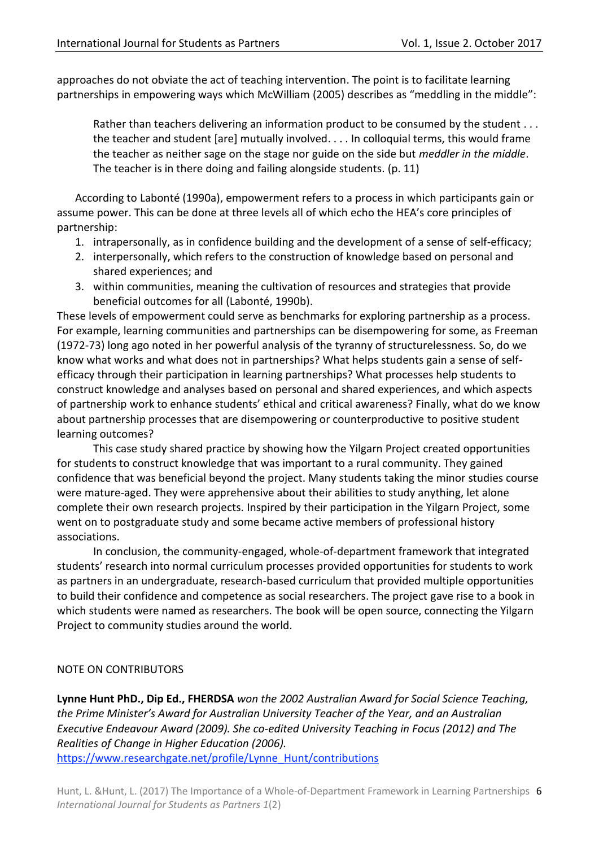approaches do not obviate the act of teaching intervention. The point is to facilitate learning partnerships in empowering ways which McWilliam (2005) describes as "meddling in the middle":

Rather than teachers delivering an information product to be consumed by the student . . . the teacher and student [are] mutually involved. . . . In colloquial terms, this would frame the teacher as neither sage on the stage nor guide on the side but *meddler in the middle*. The teacher is in there doing and failing alongside students. (p. 11)

According to Labonté (1990a), empowerment refers to a process in which participants gain or assume power. This can be done at three levels all of which echo the HEA's core principles of partnership:

- 1. intrapersonally, as in confidence building and the development of a sense of self-efficacy;
- 2. interpersonally, which refers to the construction of knowledge based on personal and shared experiences; and
- 3. within communities, meaning the cultivation of resources and strategies that provide beneficial outcomes for all (Labonté, 1990b).

These levels of empowerment could serve as benchmarks for exploring partnership as a process. For example, learning communities and partnerships can be disempowering for some, as Freeman (1972-73) long ago noted in her powerful analysis of the tyranny of structurelessness. So, do we know what works and what does not in partnerships? What helps students gain a sense of selfefficacy through their participation in learning partnerships? What processes help students to construct knowledge and analyses based on personal and shared experiences, and which aspects of partnership work to enhance students' ethical and critical awareness? Finally, what do we know about partnership processes that are disempowering or counterproductive to positive student learning outcomes?

This case study shared practice by showing how the Yilgarn Project created opportunities for students to construct knowledge that was important to a rural community. They gained confidence that was beneficial beyond the project. Many students taking the minor studies course were mature-aged. They were apprehensive about their abilities to study anything, let alone complete their own research projects. Inspired by their participation in the Yilgarn Project, some went on to postgraduate study and some became active members of professional history associations.

In conclusion, the community-engaged, whole-of-department framework that integrated students' research into normal curriculum processes provided opportunities for students to work as partners in an undergraduate, research-based curriculum that provided multiple opportunities to build their confidence and competence as social researchers. The project gave rise to a book in which students were named as researchers. The book will be open source, connecting the Yilgarn Project to community studies around the world.

## NOTE ON CONTRIBUTORS

**Lynne Hunt PhD., Dip Ed., FHERDSA** *won the 2002 Australian Award for Social Science Teaching, the Prime Minister's Award for Australian University Teacher of the Year, and an Australian Executive Endeavour Award (2009). She co-edited University Teaching in Focus (2012) and The Realities of Change in Higher Education (2006).* [https://www.researchgate.net/profile/Lynne\\_Hunt/contributions](https://www.researchgate.net/profile/Lynne_Hunt/contributions)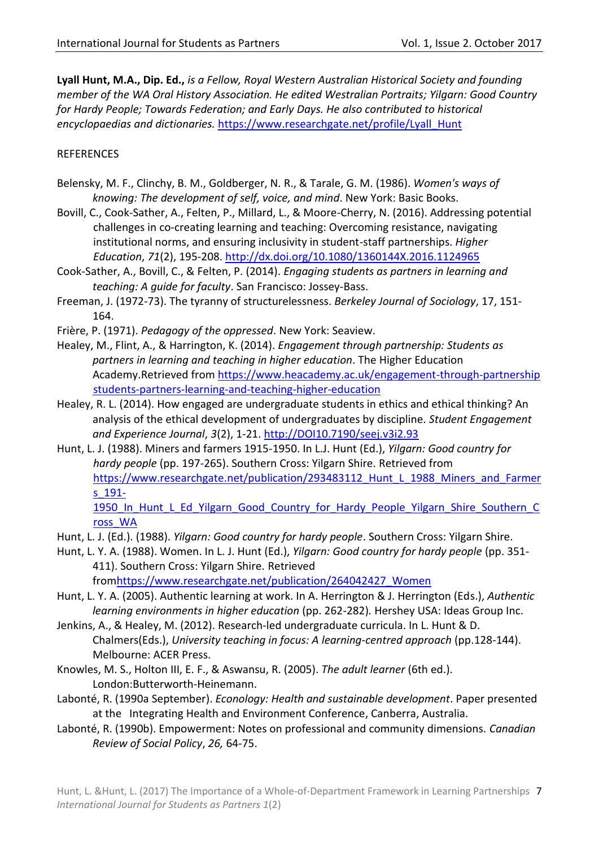**Lyall Hunt, M.A., Dip. Ed.,** *is a Fellow, Royal Western Australian Historical Society and founding member of the WA Oral History Association. He edited Westralian Portraits; Yilgarn: Good Country for Hardy People; Towards Federation; and Early Days. He also contributed to historical encyclopaedias and dictionaries.* [https://www.researchgate.net/profile/Lyall\\_Hunt](https://www.researchgate.net/profile/Lyall_Hunt)

# **REFERENCES**

- Belensky, M. F., Clinchy, B. M., Goldberger, N. R., & Tarale, G. M. (1986). *Women's ways of knowing: The development of self, voice, and mind*. New York: Basic Books.
- Bovill, C., Cook-Sather, A., Felten, P., Millard, L., & Moore-Cherry, N. (2016). Addressing potential challenges in co-creating learning and teaching: Overcoming resistance, navigating institutional norms, and ensuring inclusivity in student-staff partnerships. *Higher Education*, *71*(2), 195-208. <http://dx.doi.org/10.1080/1360144X.2016.1124965>
- Cook-Sather, A., Bovill, C., & Felten, P. (2014). *Engaging students as partners in learning and teaching: A guide for faculty*. San Francisco: Jossey-Bass.
- Freeman, J. (1972-73). The tyranny of structurelessness. *Berkeley Journal of Sociology*, 17, 151- 164.
- Frière, P. (1971). *Pedagogy of the oppressed*. New York: Seaview.
- Healey, M., Flint, A., & Harrington, K. (2014). *Engagement through partnership: Students as partners in learning and teaching in higher education*. The Higher Education Academy.Retrieved from [https://www.heacademy.ac.uk/engagement-through-partnership](https://www.heacademy.ac.uk/engagement-through-partnership%09students-partners-learning-and-teaching-higher-education) [students-partners-learning-and-teaching-higher-education](https://www.heacademy.ac.uk/engagement-through-partnership%09students-partners-learning-and-teaching-higher-education)
- Healey, R. L. (2014). How engaged are undergraduate students in ethics and ethical thinking? An analysis of the ethical development of undergraduates by discipline. *Student Engagement and Experience Journal*, *3*(2), 1-21. [http://DOI10.7190/seej.v3i2.93](http://doi10.7190/seej.v3i2.93)
- Hunt, L. J. (1988). Miners and farmers 1915-1950. In L.J. Hunt (Ed.), *Yilgarn: Good country for hardy people* (pp. 197-265). Southern Cross: Yilgarn Shire. Retrieved from https://www.researchgate.net/publication/293483112 Hunt L 1988 Miners and Farmer [s\\_191-](https://www.researchgate.net/publication/293483112_Hunt_L_1988_Miners_and_Farmers_191-1950_In_Hunt_L_Ed_Yilgarn_Good_Country_for_Hardy_People_Yilgarn_Shire_Southern_Cross_WA) 1950 In Hunt L Ed Yilgarn Good Country for Hardy People Yilgarn Shire Southern C

[ross\\_WA](https://www.researchgate.net/publication/293483112_Hunt_L_1988_Miners_and_Farmers_191-1950_In_Hunt_L_Ed_Yilgarn_Good_Country_for_Hardy_People_Yilgarn_Shire_Southern_Cross_WA)

- Hunt, L. J. (Ed.). (1988). *Yilgarn: Good country for hardy people*. Southern Cross: Yilgarn Shire.
- Hunt, L. Y. A. (1988). Women. In L. J. Hunt (Ed.), *Yilgarn: Good country for hardy people* (pp. 351- 411). Southern Cross: Yilgarn Shire. Retrieved

fro[mhttps://www.researchgate.net/publication/264042427\\_Women](https://www.researchgate.net/publication/264042427_Women)

- Hunt, L. Y. A. (2005). Authentic learning at work. In A. Herrington & J. Herrington (Eds.), *Authentic learning environments in higher education* (pp. 262-282)*.* Hershey USA: Ideas Group Inc.
- Jenkins, A., & Healey, M. (2012). Research-led undergraduate curricula. In L. Hunt & D. Chalmers(Eds.), *University teaching in focus: A learning-centred approach* (pp.128-144). Melbourne: ACER Press.
- Knowles, M. S., Holton III, E. F., & Aswansu, R. (2005). *The adult learner* (6th ed.). London:Butterworth-Heinemann.
- Labonté, R. (1990a September). *Econology: Health and sustainable development*. Paper presented at the Integrating Health and Environment Conference, Canberra, Australia.
- Labonté, R. (1990b). Empowerment: Notes on professional and community dimensions. *Canadian Review of Social Policy*, *26,* 64-75.